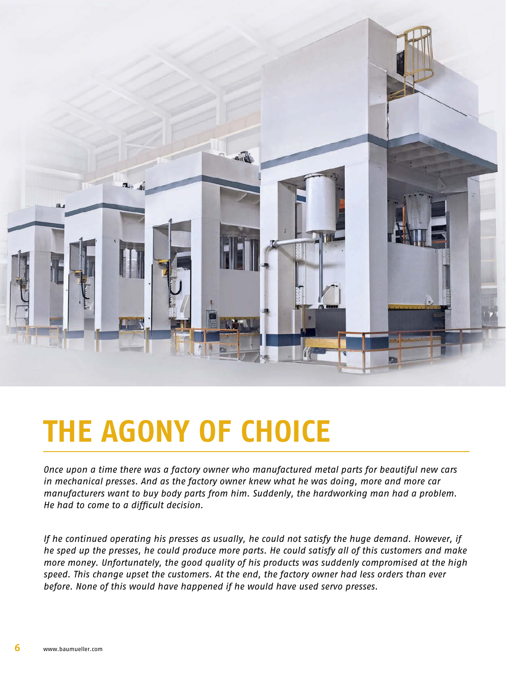

# **THE AGONY OF CHOICE**

*Once upon a time there was a factory owner who manufactured metal parts for beautiful new cars in mechanical presses. And as the factory owner knew what he was doing, more and more car manufacturers want to buy body parts from him. Suddenly, the hardworking man had a problem. He had to come to a difficult decision.*

*If he continued operating his presses as usually, he could not satisfy the huge demand. However, if he sped up the presses, he could produce more parts. He could satisfy all of this customers and make more money. Unfortunately, the good quality of his products was suddenly compromised at the high speed. This change upset the customers. At the end, the factory owner had less orders than ever before. None of this would have happened if he would have used servo presses.*